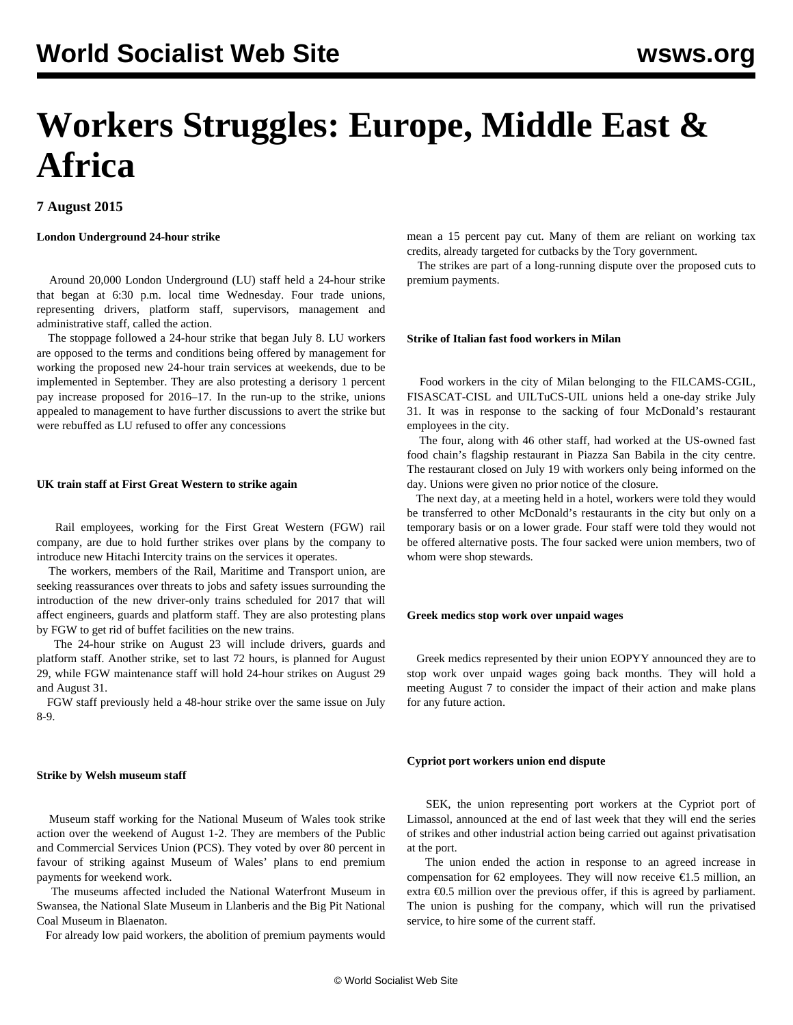# **Workers Struggles: Europe, Middle East & Africa**

# **7 August 2015**

# **London Underground 24-hour strike**

 Around 20,000 London Underground (LU) staff held a 24-hour strike that began at 6:30 p.m. local time Wednesday. Four trade unions, representing drivers, platform staff, supervisors, management and administrative staff, called the action.

 The stoppage followed a 24-hour strike that began July 8. LU workers are opposed to the terms and conditions being offered by management for working the proposed new 24-hour train services at weekends, due to be implemented in September. They are also protesting a derisory 1 percent pay increase proposed for 2016–17. In the run-up to the strike, unions appealed to management to have further discussions to avert the strike but were rebuffed as LU refused to offer any concessions

## **UK train staff at First Great Western to strike again**

 Rail employees, working for the First Great Western (FGW) rail company, are due to hold further strikes over plans by the company to introduce new Hitachi Intercity trains on the services it operates.

 The workers, members of the Rail, Maritime and Transport union, are seeking reassurances over threats to jobs and safety issues surrounding the introduction of the new driver-only trains scheduled for 2017 that will affect engineers, guards and platform staff. They are also protesting plans by FGW to get rid of buffet facilities on the new trains.

 The 24-hour strike on August 23 will include drivers, guards and platform staff. Another strike, set to last 72 hours, is planned for August 29, while FGW maintenance staff will hold 24-hour strikes on August 29 and August 31.

 FGW staff previously held a 48-hour strike over the same issue on July 8-9.

# **Strike by Welsh museum staff**

 Museum staff working for the National Museum of Wales took strike action over the weekend of August 1-2. They are members of the Public and Commercial Services Union (PCS). They voted by over 80 percent in favour of striking against Museum of Wales' plans to end premium payments for weekend work.

 The museums affected included the National Waterfront Museum in Swansea, the National Slate Museum in Llanberis and the Big Pit National Coal Museum in Blaenaton.

For already low paid workers, the abolition of premium payments would

mean a 15 percent pay cut. Many of them are reliant on working tax credits, already targeted for cutbacks by the Tory government.

 The strikes are part of a long-running dispute over the proposed cuts to premium payments.

## **Strike of Italian fast food workers in Milan**

 Food workers in the city of Milan belonging to the FILCAMS-CGIL, FISASCAT-CISL and UILTuCS-UIL unions held a one-day strike July 31. It was in response to the sacking of four McDonald's restaurant employees in the city.

 The four, along with 46 other staff, had worked at the US-owned fast food chain's flagship restaurant in Piazza San Babila in the city centre. The restaurant closed on July 19 with workers only being informed on the day. Unions were given no prior notice of the closure.

 The next day, at a meeting held in a hotel, workers were told they would be transferred to other McDonald's restaurants in the city but only on a temporary basis or on a lower grade. Four staff were told they would not be offered alternative posts. The four sacked were union members, two of whom were shop stewards.

## **Greek medics stop work over unpaid wages**

 Greek medics represented by their union EOPYY announced they are to stop work over unpaid wages going back months. They will hold a meeting August 7 to consider the impact of their action and make plans for any future action.

# **Cypriot port workers union end dispute**

 SEK, the union representing port workers at the Cypriot port of Limassol, announced at the end of last week that they will end the series of strikes and other industrial action being carried out against privatisation at the port.

 The union ended the action in response to an agreed increase in compensation for 62 employees. They will now receive  $\epsilon$ 1.5 million, an extra  $\epsilon$ 0.5 million over the previous offer, if this is agreed by parliament. The union is pushing for the company, which will run the privatised service, to hire some of the current staff.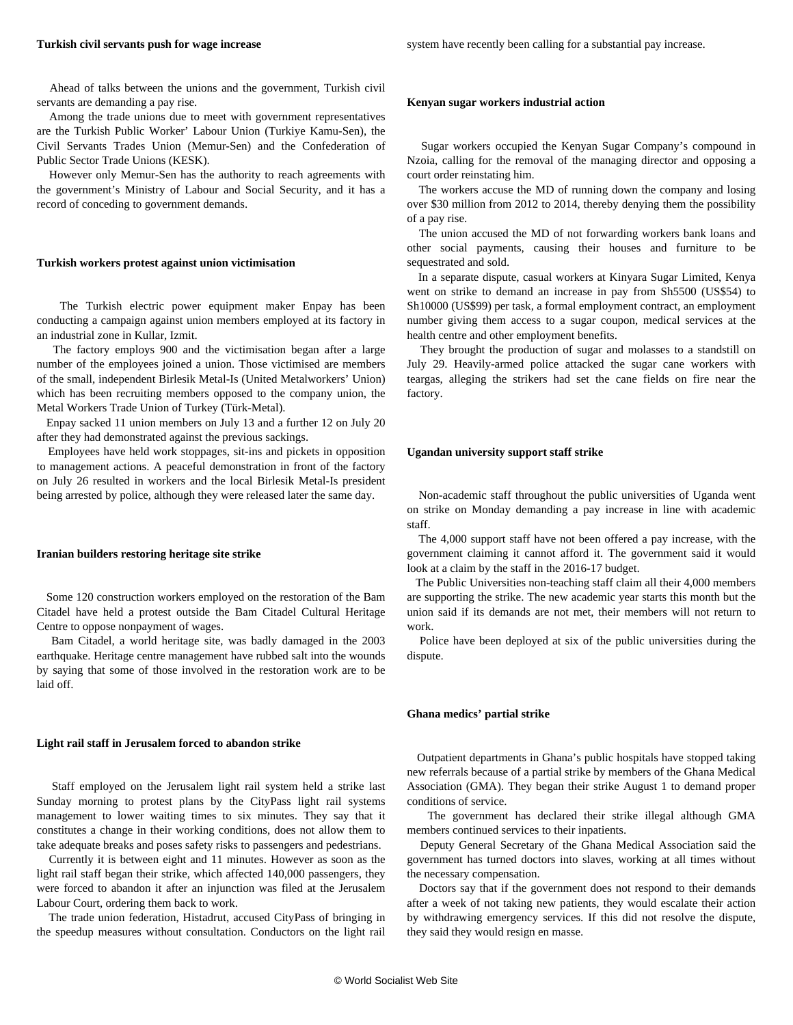#### **Turkish civil servants push for wage increase**

 Ahead of talks between the unions and the government, Turkish civil servants are demanding a pay rise.

 Among the trade unions due to meet with government representatives are the Turkish Public Worker' Labour Union (Turkiye Kamu-Sen), the Civil Servants Trades Union (Memur-Sen) and the Confederation of Public Sector Trade Unions (KESK).

 However only Memur-Sen has the authority to reach agreements with the government's Ministry of Labour and Social Security, and it has a record of conceding to government demands.

#### **Turkish workers protest against union victimisation**

 The Turkish electric power equipment maker Enpay has been conducting a campaign against union members employed at its factory in an industrial zone in Kullar, Izmit.

 The factory employs 900 and the victimisation began after a large number of the employees joined a union. Those victimised are members of the small, independent Birlesik Metal-Is (United Metalworkers' Union) which has been recruiting members opposed to the company union, the Metal Workers Trade Union of Turkey (Türk-Metal).

 Enpay sacked 11 union members on July 13 and a further 12 on July 20 after they had demonstrated against the previous sackings.

 Employees have held work stoppages, sit-ins and pickets in opposition to management actions. A peaceful demonstration in front of the factory on July 26 resulted in workers and the local Birlesik Metal-Is president being arrested by police, although they were released later the same day.

#### **Iranian builders restoring heritage site strike**

 Some 120 construction workers employed on the restoration of the Bam Citadel have held a protest outside the Bam Citadel Cultural Heritage Centre to oppose nonpayment of wages.

 Bam Citadel, a world heritage site, was badly damaged in the 2003 earthquake. Heritage centre management have rubbed salt into the wounds by saying that some of those involved in the restoration work are to be laid off.

#### **Light rail staff in Jerusalem forced to abandon strike**

 Staff employed on the Jerusalem light rail system held a strike last Sunday morning to protest plans by the CityPass light rail systems management to lower waiting times to six minutes. They say that it constitutes a change in their working conditions, does not allow them to take adequate breaks and poses safety risks to passengers and pedestrians.

 Currently it is between eight and 11 minutes. However as soon as the light rail staff began their strike, which affected 140,000 passengers, they were forced to abandon it after an injunction was filed at the Jerusalem Labour Court, ordering them back to work.

 The trade union federation, Histadrut, accused CityPass of bringing in the speedup measures without consultation. Conductors on the light rail

#### **Kenyan sugar workers industrial action**

 Sugar workers occupied the Kenyan Sugar Company's compound in Nzoia, calling for the removal of the managing director and opposing a court order reinstating him.

 The workers accuse the MD of running down the company and losing over \$30 million from 2012 to 2014, thereby denying them the possibility of a pay rise.

 The union accused the MD of not forwarding workers bank loans and other social payments, causing their houses and furniture to be sequestrated and sold.

 In a separate dispute, casual workers at Kinyara Sugar Limited, Kenya went on strike to demand an increase in pay from Sh5500 (US\$54) to Sh10000 (US\$99) per task, a formal employment contract, an employment number giving them access to a sugar coupon, medical services at the health centre and other employment benefits.

 They brought the production of sugar and molasses to a standstill on July 29. Heavily-armed police attacked the sugar cane workers with teargas, alleging the strikers had set the cane fields on fire near the factory.

#### **Ugandan university support staff strike**

 Non-academic staff throughout the public universities of Uganda went on strike on Monday demanding a pay increase in line with academic staff.

 The 4,000 support staff have not been offered a pay increase, with the government claiming it cannot afford it. The government said it would look at a claim by the staff in the 2016-17 budget.

 The Public Universities non-teaching staff claim all their 4,000 members are supporting the strike. The new academic year starts this month but the union said if its demands are not met, their members will not return to work.

 Police have been deployed at six of the public universities during the dispute.

#### **Ghana medics' partial strike**

 Outpatient departments in Ghana's public hospitals have stopped taking new referrals because of a partial strike by members of the Ghana Medical Association (GMA). They began their strike August 1 to demand proper conditions of service.

 The government has declared their strike illegal although GMA members continued services to their inpatients.

 Deputy General Secretary of the Ghana Medical Association said the government has turned doctors into slaves, working at all times without the necessary compensation.

 Doctors say that if the government does not respond to their demands after a week of not taking new patients, they would escalate their action by withdrawing emergency services. If this did not resolve the dispute, they said they would resign en masse.